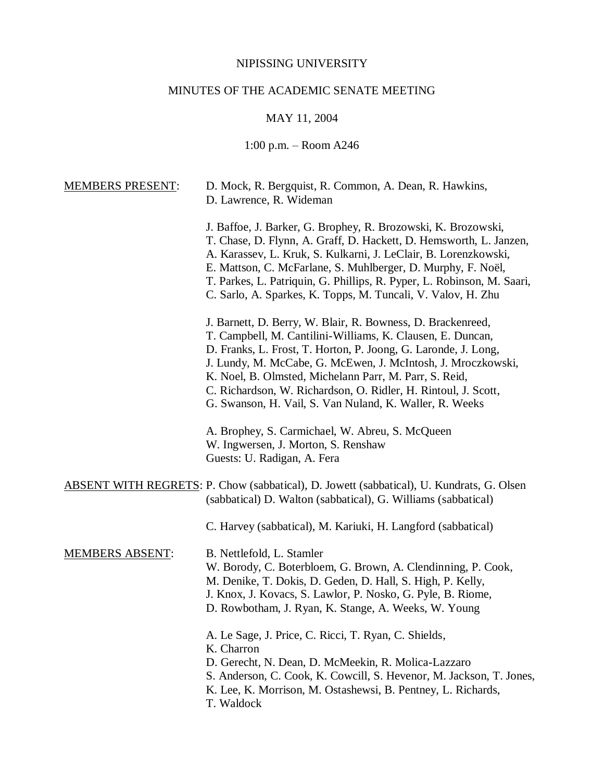## NIPISSING UNIVERSITY

# MINUTES OF THE ACADEMIC SENATE MEETING

## MAY 11, 2004

## 1:00 p.m. – Room A246

| <b>MEMBERS PRESENT:</b> | D. Mock, R. Bergquist, R. Common, A. Dean, R. Hawkins,<br>D. Lawrence, R. Wideman                                                                                                                                                                                                                                                                                                                                                                  |  |
|-------------------------|----------------------------------------------------------------------------------------------------------------------------------------------------------------------------------------------------------------------------------------------------------------------------------------------------------------------------------------------------------------------------------------------------------------------------------------------------|--|
|                         | J. Baffoe, J. Barker, G. Brophey, R. Brozowski, K. Brozowski,<br>T. Chase, D. Flynn, A. Graff, D. Hackett, D. Hemsworth, L. Janzen,<br>A. Karassev, L. Kruk, S. Kulkarni, J. LeClair, B. Lorenzkowski,<br>E. Mattson, C. McFarlane, S. Muhlberger, D. Murphy, F. Noël,<br>T. Parkes, L. Patriquin, G. Phillips, R. Pyper, L. Robinson, M. Saari,<br>C. Sarlo, A. Sparkes, K. Topps, M. Tuncali, V. Valov, H. Zhu                                   |  |
|                         | J. Barnett, D. Berry, W. Blair, R. Bowness, D. Brackenreed,<br>T. Campbell, M. Cantilini-Williams, K. Clausen, E. Duncan,<br>D. Franks, L. Frost, T. Horton, P. Joong, G. Laronde, J. Long,<br>J. Lundy, M. McCabe, G. McEwen, J. McIntosh, J. Mroczkowski,<br>K. Noel, B. Olmsted, Michelann Parr, M. Parr, S. Reid,<br>C. Richardson, W. Richardson, O. Ridler, H. Rintoul, J. Scott,<br>G. Swanson, H. Vail, S. Van Nuland, K. Waller, R. Weeks |  |
|                         | A. Brophey, S. Carmichael, W. Abreu, S. McQueen<br>W. Ingwersen, J. Morton, S. Renshaw<br>Guests: U. Radigan, A. Fera                                                                                                                                                                                                                                                                                                                              |  |
|                         | <b>ABSENT WITH REGRETS: P. Chow (sabbatical), D. Jowett (sabbatical), U. Kundrats, G. Olsen</b><br>(sabbatical) D. Walton (sabbatical), G. Williams (sabbatical)                                                                                                                                                                                                                                                                                   |  |
|                         | C. Harvey (sabbatical), M. Kariuki, H. Langford (sabbatical)                                                                                                                                                                                                                                                                                                                                                                                       |  |
| <b>MEMBERS ABSENT:</b>  | B. Nettlefold, L. Stamler<br>W. Borody, C. Boterbloem, G. Brown, A. Clendinning, P. Cook,<br>M. Denike, T. Dokis, D. Geden, D. Hall, S. High, P. Kelly,<br>J. Knox, J. Kovacs, S. Lawlor, P. Nosko, G. Pyle, B. Riome,<br>D. Rowbotham, J. Ryan, K. Stange, A. Weeks, W. Young                                                                                                                                                                     |  |
|                         | A. Le Sage, J. Price, C. Ricci, T. Ryan, C. Shields,<br>K. Charron<br>D. Gerecht, N. Dean, D. McMeekin, R. Molica-Lazzaro<br>S. Anderson, C. Cook, K. Cowcill, S. Hevenor, M. Jackson, T. Jones,<br>K. Lee, K. Morrison, M. Ostashewsi, B. Pentney, L. Richards,<br>T. Waldock                                                                                                                                                                     |  |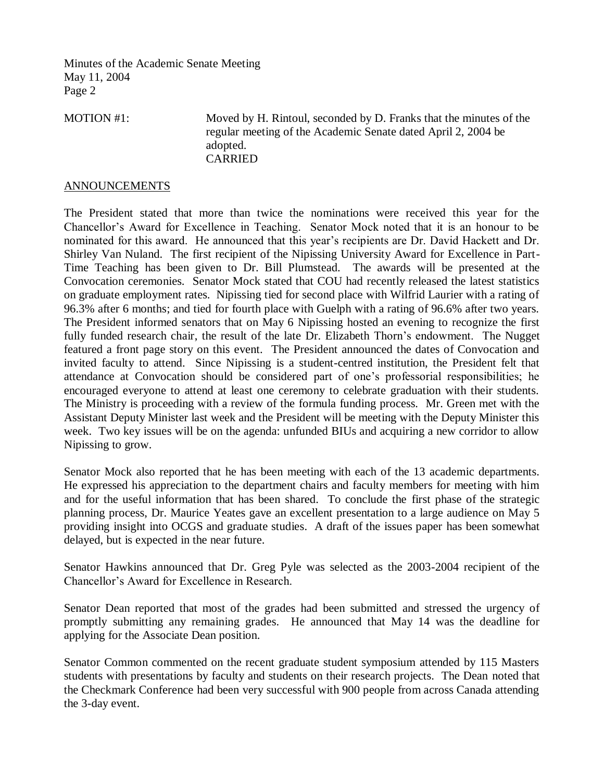MOTION #1: Moved by H. Rintoul, seconded by D. Franks that the minutes of the regular meeting of the Academic Senate dated April 2, 2004 be adopted. CARRIED

#### ANNOUNCEMENTS

The President stated that more than twice the nominations were received this year for the Chancellor's Award for Excellence in Teaching. Senator Mock noted that it is an honour to be nominated for this award. He announced that this year's recipients are Dr. David Hackett and Dr. Shirley Van Nuland. The first recipient of the Nipissing University Award for Excellence in Part-Time Teaching has been given to Dr. Bill Plumstead. The awards will be presented at the Convocation ceremonies. Senator Mock stated that COU had recently released the latest statistics on graduate employment rates. Nipissing tied for second place with Wilfrid Laurier with a rating of 96.3% after 6 months; and tied for fourth place with Guelph with a rating of 96.6% after two years. The President informed senators that on May 6 Nipissing hosted an evening to recognize the first fully funded research chair, the result of the late Dr. Elizabeth Thorn's endowment. The Nugget featured a front page story on this event. The President announced the dates of Convocation and invited faculty to attend. Since Nipissing is a student-centred institution, the President felt that attendance at Convocation should be considered part of one's professorial responsibilities; he encouraged everyone to attend at least one ceremony to celebrate graduation with their students. The Ministry is proceeding with a review of the formula funding process. Mr. Green met with the Assistant Deputy Minister last week and the President will be meeting with the Deputy Minister this week. Two key issues will be on the agenda: unfunded BIUs and acquiring a new corridor to allow Nipissing to grow.

Senator Mock also reported that he has been meeting with each of the 13 academic departments. He expressed his appreciation to the department chairs and faculty members for meeting with him and for the useful information that has been shared. To conclude the first phase of the strategic planning process, Dr. Maurice Yeates gave an excellent presentation to a large audience on May 5 providing insight into OCGS and graduate studies. A draft of the issues paper has been somewhat delayed, but is expected in the near future.

Senator Hawkins announced that Dr. Greg Pyle was selected as the 2003-2004 recipient of the Chancellor's Award for Excellence in Research.

Senator Dean reported that most of the grades had been submitted and stressed the urgency of promptly submitting any remaining grades. He announced that May 14 was the deadline for applying for the Associate Dean position.

Senator Common commented on the recent graduate student symposium attended by 115 Masters students with presentations by faculty and students on their research projects. The Dean noted that the Checkmark Conference had been very successful with 900 people from across Canada attending the 3-day event.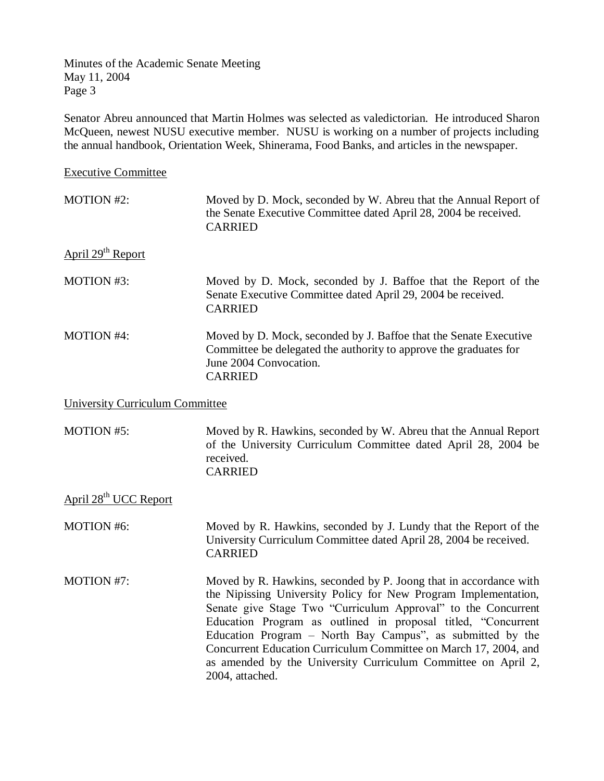Senator Abreu announced that Martin Holmes was selected as valedictorian. He introduced Sharon McQueen, newest NUSU executive member. NUSU is working on a number of projects including the annual handbook, Orientation Week, Shinerama, Food Banks, and articles in the newspaper.

Executive Committee

| <b>MOTION #2:</b>             | Moved by D. Mock, seconded by W. Abreu that the Annual Report of<br>the Senate Executive Committee dated April 28, 2004 be received.<br><b>CARRIED</b>                             |
|-------------------------------|------------------------------------------------------------------------------------------------------------------------------------------------------------------------------------|
| April 29 <sup>th</sup> Report |                                                                                                                                                                                    |
| <b>MOTION #3:</b>             | Moved by D. Mock, seconded by J. Baffoe that the Report of the<br>Senate Executive Committee dated April 29, 2004 be received.<br><b>CARRIED</b>                                   |
| <b>MOTION #4:</b>             | Moved by D. Mock, seconded by J. Baffoe that the Senate Executive<br>Committee be delegated the authority to approve the graduates for<br>June 2004 Convocation.<br><b>CARRIED</b> |

University Curriculum Committee

MOTION #5: Moved by R. Hawkins, seconded by W. Abreu that the Annual Report of the University Curriculum Committee dated April 28, 2004 be received. CARRIED

April 28th UCC Report

MOTION #6: Moved by R. Hawkins, seconded by J. Lundy that the Report of the University Curriculum Committee dated April 28, 2004 be received. CARRIED

MOTION #7: Moved by R. Hawkins, seconded by P. Joong that in accordance with the Nipissing University Policy for New Program Implementation, Senate give Stage Two "Curriculum Approval" to the Concurrent Education Program as outlined in proposal titled, "Concurrent Education Program – North Bay Campus", as submitted by the Concurrent Education Curriculum Committee on March 17, 2004, and as amended by the University Curriculum Committee on April 2, 2004, attached.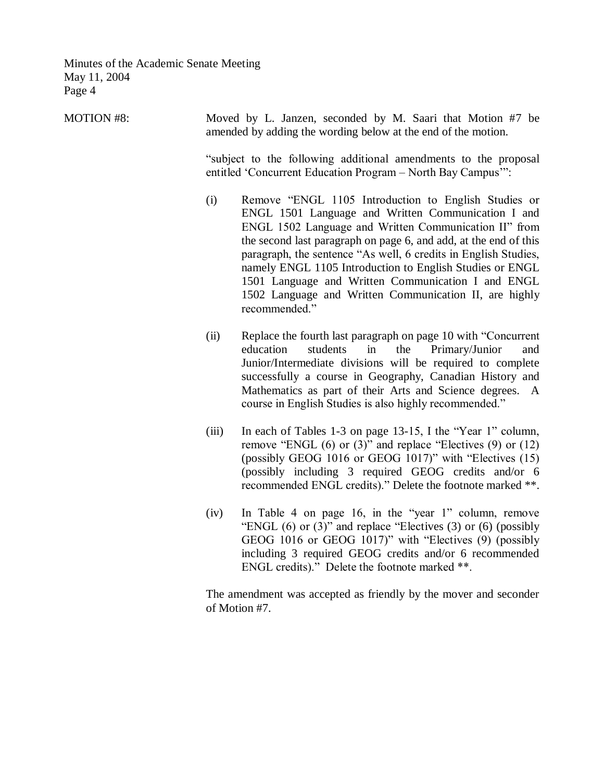| <b>MOTION #8:</b> | Moved by L. Janzen, seconded by M. Saari that Motion #7 be<br>amended by adding the wording below at the end of the motion.     |                                                                                                                                                                                                                                                                                                                                                                                                                                                                                                         |  |  |  |
|-------------------|---------------------------------------------------------------------------------------------------------------------------------|---------------------------------------------------------------------------------------------------------------------------------------------------------------------------------------------------------------------------------------------------------------------------------------------------------------------------------------------------------------------------------------------------------------------------------------------------------------------------------------------------------|--|--|--|
|                   | "subject to the following additional amendments to the proposal<br>entitled 'Concurrent Education Program - North Bay Campus'": |                                                                                                                                                                                                                                                                                                                                                                                                                                                                                                         |  |  |  |
|                   | (i)                                                                                                                             | Remove "ENGL 1105 Introduction to English Studies or<br>ENGL 1501 Language and Written Communication I and<br>ENGL 1502 Language and Written Communication II" from<br>the second last paragraph on page 6, and add, at the end of this<br>paragraph, the sentence "As well, 6 credits in English Studies,<br>namely ENGL 1105 Introduction to English Studies or ENGL<br>1501 Language and Written Communication I and ENGL<br>1502 Language and Written Communication II, are highly<br>recommended." |  |  |  |
|                   | (ii)                                                                                                                            | Replace the fourth last paragraph on page 10 with "Concurrent"<br>students<br>the<br>Primary/Junior<br>education<br>in<br>and<br>Junior/Intermediate divisions will be required to complete<br>successfully a course in Geography, Canadian History and<br>Mathematics as part of their Arts and Science degrees. A<br>course in English Studies is also highly recommended."                                                                                                                           |  |  |  |
|                   | (iii)                                                                                                                           | In each of Tables 1-3 on page 13-15, I the "Year 1" column,<br>remove "ENGL $(6)$ or $(3)$ " and replace "Electives $(9)$ or $(12)$<br>(possibly GEOG 1016 or GEOG 1017)" with "Electives $(15)$<br>(possibly including 3 required GEOG credits and/or 6<br>recommended ENGL credits)." Delete the footnote marked **.                                                                                                                                                                                  |  |  |  |

(iv) In Table 4 on page 16, in the "year 1" column, remove "ENGL  $(6)$  or  $(3)$ " and replace "Electives  $(3)$  or  $(6)$  (possibly GEOG 1016 or GEOG 1017)" with "Electives (9) (possibly including 3 required GEOG credits and/or 6 recommended ENGL credits)." Delete the footnote marked \*\*.

The amendment was accepted as friendly by the mover and seconder of Motion #7.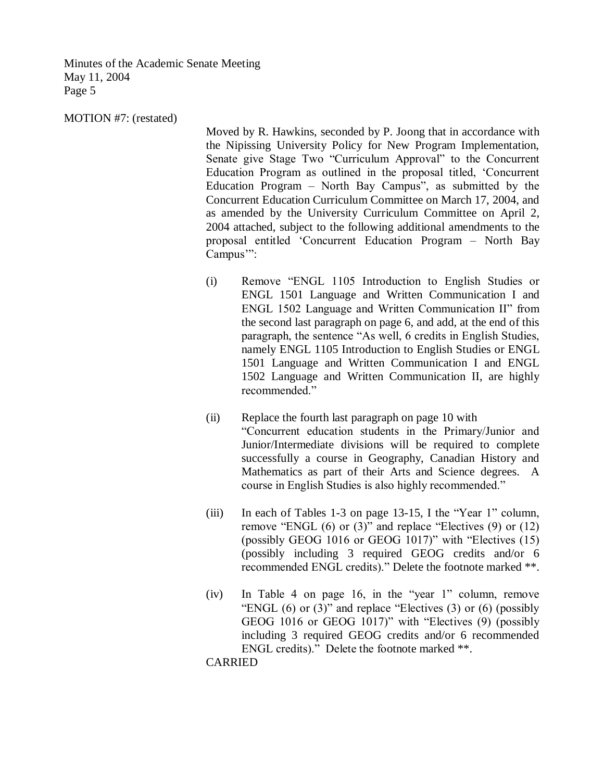MOTION #7: (restated)

Moved by R. Hawkins, seconded by P. Joong that in accordance with the Nipissing University Policy for New Program Implementation, Senate give Stage Two "Curriculum Approval" to the Concurrent Education Program as outlined in the proposal titled, 'Concurrent Education Program – North Bay Campus", as submitted by the Concurrent Education Curriculum Committee on March 17, 2004, and as amended by the University Curriculum Committee on April 2, 2004 attached, subject to the following additional amendments to the proposal entitled 'Concurrent Education Program – North Bay Campus'":

- (i) Remove "ENGL 1105 Introduction to English Studies or ENGL 1501 Language and Written Communication I and ENGL 1502 Language and Written Communication II" from the second last paragraph on page 6, and add, at the end of this paragraph, the sentence "As well, 6 credits in English Studies, namely ENGL 1105 Introduction to English Studies or ENGL 1501 Language and Written Communication I and ENGL 1502 Language and Written Communication II, are highly recommended."
- (ii) Replace the fourth last paragraph on page 10 with "Concurrent education students in the Primary/Junior and Junior/Intermediate divisions will be required to complete successfully a course in Geography, Canadian History and Mathematics as part of their Arts and Science degrees. A course in English Studies is also highly recommended."
- (iii) In each of Tables 1-3 on page 13-15, I the "Year 1" column, remove "ENGL  $(6)$  or  $(3)$ " and replace "Electives  $(9)$  or  $(12)$ " (possibly GEOG 1016 or GEOG 1017)" with "Electives (15) (possibly including 3 required GEOG credits and/or 6 recommended ENGL credits)." Delete the footnote marked \*\*.
- (iv) In Table 4 on page 16, in the "year 1" column, remove "ENGL  $(6)$  or  $(3)$ " and replace "Electives  $(3)$  or  $(6)$  (possibly GEOG 1016 or GEOG 1017)" with "Electives (9) (possibly including 3 required GEOG credits and/or 6 recommended ENGL credits)." Delete the footnote marked \*\*.

CARRIED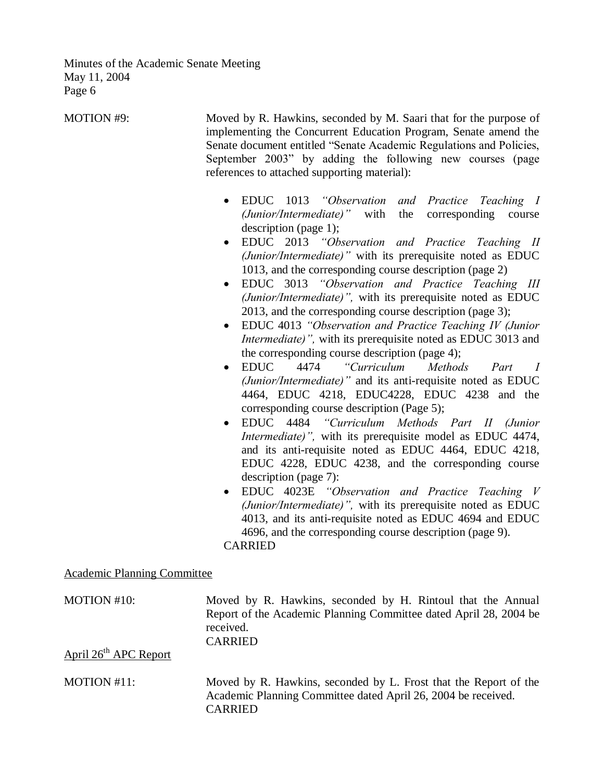| MOTION #9:                         | Moved by R. Hawkins, seconded by M. Saari that for the purpose of<br>implementing the Concurrent Education Program, Senate amend the<br>Senate document entitled "Senate Academic Regulations and Policies,<br>September 2003" by adding the following new courses (page<br>references to attached supporting material):<br>EDUC 1013 "Observation<br>and Practice Teaching I<br>$\bullet$                                                                                                                                                                                                                                                                                                                                                                                                                                                                                                                                                                                                                                                                                                                                                                                                                                                                                                                                                                                                                                                                              |  |  |  |
|------------------------------------|-------------------------------------------------------------------------------------------------------------------------------------------------------------------------------------------------------------------------------------------------------------------------------------------------------------------------------------------------------------------------------------------------------------------------------------------------------------------------------------------------------------------------------------------------------------------------------------------------------------------------------------------------------------------------------------------------------------------------------------------------------------------------------------------------------------------------------------------------------------------------------------------------------------------------------------------------------------------------------------------------------------------------------------------------------------------------------------------------------------------------------------------------------------------------------------------------------------------------------------------------------------------------------------------------------------------------------------------------------------------------------------------------------------------------------------------------------------------------|--|--|--|
|                                    | (Junior/Intermediate)"<br>with<br>the<br>corresponding<br>course<br>description (page 1);<br>EDUC 2013 "Observation and Practice Teaching II<br>$\bullet$<br>(Junior/Intermediate)" with its prerequisite noted as EDUC<br>1013, and the corresponding course description (page 2)<br>EDUC 3013 "Observation and Practice Teaching III<br>$\bullet$<br><i>(Junior/Intermediate)</i> ", with its prerequisite noted as EDUC<br>2013, and the corresponding course description (page 3);<br>EDUC 4013 "Observation and Practice Teaching IV (Junior<br>$\bullet$<br><i>Intermediate)</i> ", with its prerequisite noted as EDUC 3013 and<br>the corresponding course description (page 4);<br><b>EDUC</b><br>4474<br>"Curriculum<br>Methods<br>Part<br>I<br>$\bullet$<br>(Junior/Intermediate)" and its anti-requisite noted as EDUC<br>4464, EDUC 4218, EDUC4228, EDUC 4238 and the<br>corresponding course description (Page 5);<br>EDUC 4484 "Curriculum Methods Part II (Junior<br>$\bullet$<br><i>Intermediate)</i> ", with its prerequisite model as EDUC 4474,<br>and its anti-requisite noted as EDUC 4464, EDUC 4218,<br>EDUC 4228, EDUC 4238, and the corresponding course<br>description (page 7):<br>EDUC 4023E "Observation and Practice Teaching V<br>(Junior/Intermediate)", with its prerequisite noted as EDUC<br>4013, and its anti-requisite noted as EDUC 4694 and EDUC<br>4696, and the corresponding course description (page 9).<br><b>CARRIED</b> |  |  |  |
| <b>Academic Planning Committee</b> |                                                                                                                                                                                                                                                                                                                                                                                                                                                                                                                                                                                                                                                                                                                                                                                                                                                                                                                                                                                                                                                                                                                                                                                                                                                                                                                                                                                                                                                                         |  |  |  |
| MOTION #10:                        | Moved by R. Hawkins, seconded by H. Rintoul that the Annual<br>Report of the Academic Planning Committee dated April 28, 2004 be<br>received.<br><b>CARRIED</b>                                                                                                                                                                                                                                                                                                                                                                                                                                                                                                                                                                                                                                                                                                                                                                                                                                                                                                                                                                                                                                                                                                                                                                                                                                                                                                         |  |  |  |
| April 26 <sup>th</sup> APC Report  |                                                                                                                                                                                                                                                                                                                                                                                                                                                                                                                                                                                                                                                                                                                                                                                                                                                                                                                                                                                                                                                                                                                                                                                                                                                                                                                                                                                                                                                                         |  |  |  |
| MOTION #11:                        | Moved by R. Hawkins, seconded by L. Frost that the Report of the<br>Academic Planning Committee dated April 26, 2004 be received.<br><b>CARRIED</b>                                                                                                                                                                                                                                                                                                                                                                                                                                                                                                                                                                                                                                                                                                                                                                                                                                                                                                                                                                                                                                                                                                                                                                                                                                                                                                                     |  |  |  |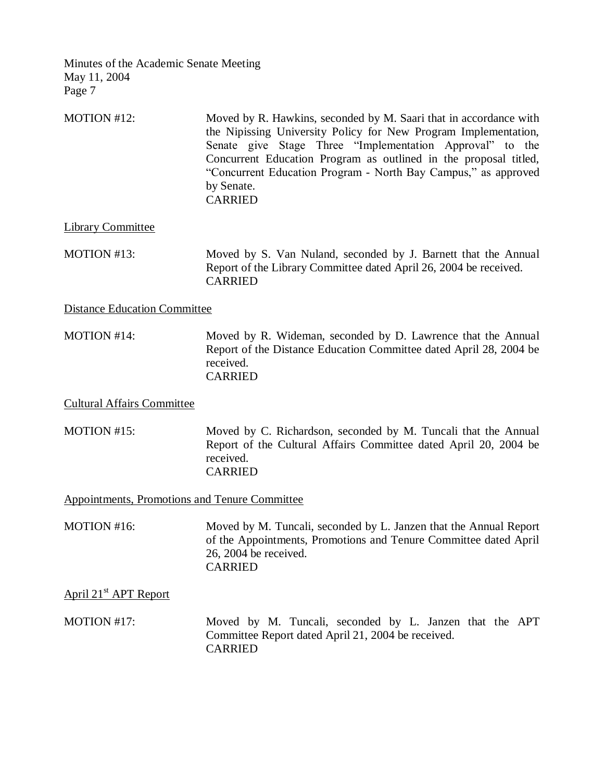| MOTION #12: | Moved by R. Hawkins, seconded by M. Saari that in accordance with |
|-------------|-------------------------------------------------------------------|
|             | the Nipissing University Policy for New Program Implementation,   |
|             | Senate give Stage Three "Implementation Approval" to the          |
|             | Concurrent Education Program as outlined in the proposal titled,  |
|             | "Concurrent Education Program - North Bay Campus," as approved    |
|             | by Senate.                                                        |
|             | <b>CARRIED</b>                                                    |

Library Committee

MOTION #13: Moved by S. Van Nuland, seconded by J. Barnett that the Annual Report of the Library Committee dated April 26, 2004 be received. CARRIED

Distance Education Committee

MOTION #14: Moved by R. Wideman, seconded by D. Lawrence that the Annual Report of the Distance Education Committee dated April 28, 2004 be received. CARRIED

Cultural Affairs Committee

MOTION #15: Moved by C. Richardson, seconded by M. Tuncali that the Annual Report of the Cultural Affairs Committee dated April 20, 2004 be received. CARRIED

Appointments, Promotions and Tenure Committee

MOTION #16: Moved by M. Tuncali, seconded by L. Janzen that the Annual Report of the Appointments, Promotions and Tenure Committee dated April 26, 2004 be received. CARRIED

April 21<sup>st</sup> APT Report

MOTION #17: Moved by M. Tuncali, seconded by L. Janzen that the APT Committee Report dated April 21, 2004 be received. CARRIED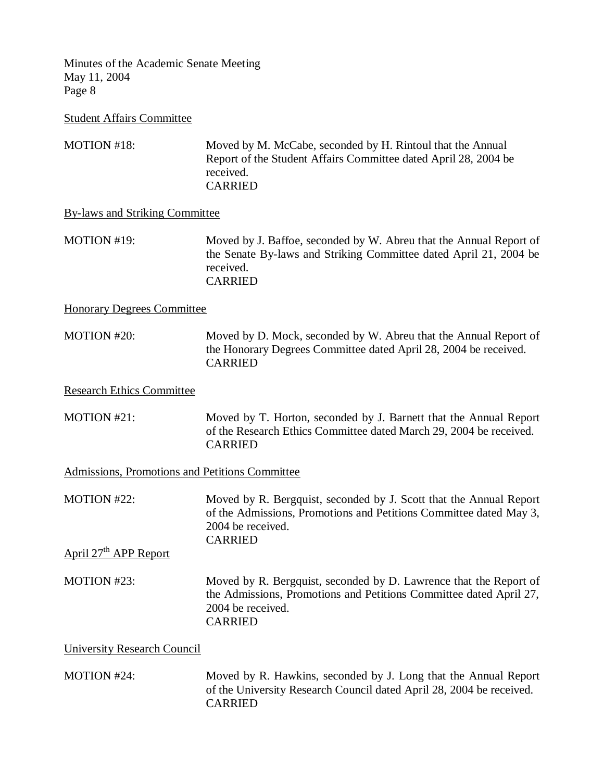Student Affairs Committee

MOTION #18: Moved by M. McCabe, seconded by H. Rintoul that the Annual Report of the Student Affairs Committee dated April 28, 2004 be received. CARRIED

By-laws and Striking Committee

MOTION #19: Moved by J. Baffoe, seconded by W. Abreu that the Annual Report of the Senate By-laws and Striking Committee dated April 21, 2004 be received. CARRIED

Honorary Degrees Committee

MOTION #20: Moved by D. Mock, seconded by W. Abreu that the Annual Report of the Honorary Degrees Committee dated April 28, 2004 be received. CARRIED

Research Ethics Committee

MOTION #21: Moved by T. Horton, seconded by J. Barnett that the Annual Report of the Research Ethics Committee dated March 29, 2004 be received. CARRIED

Admissions, Promotions and Petitions Committee

MOTION #22: Moved by R. Bergquist, seconded by J. Scott that the Annual Report of the Admissions, Promotions and Petitions Committee dated May 3, 2004 be received. CARRIED

April 27<sup>th</sup> APP Report

MOTION #23: Moved by R. Bergquist, seconded by D. Lawrence that the Report of the Admissions, Promotions and Petitions Committee dated April 27, 2004 be received. CARRIED

University Research Council

MOTION #24: Moved by R. Hawkins, seconded by J. Long that the Annual Report of the University Research Council dated April 28, 2004 be received. CARRIED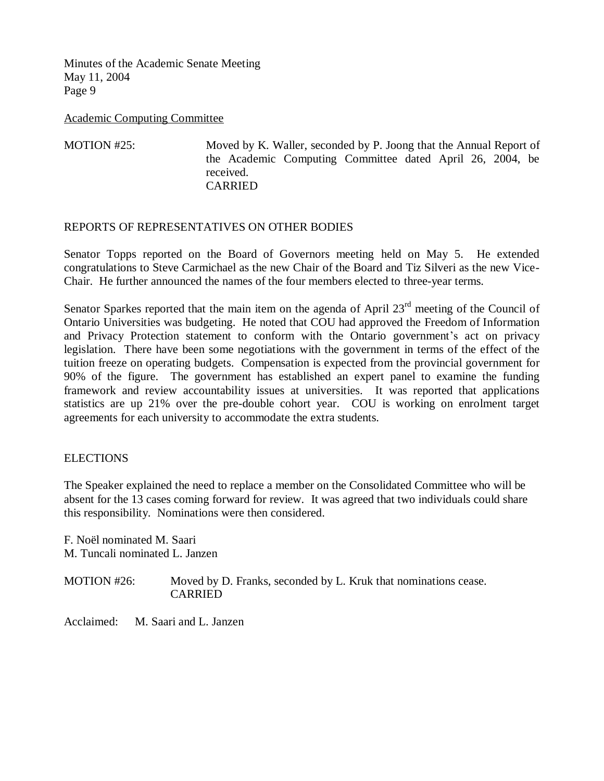Academic Computing Committee

MOTION #25: Moved by K. Waller, seconded by P. Joong that the Annual Report of the Academic Computing Committee dated April 26, 2004, be received. CARRIED

### REPORTS OF REPRESENTATIVES ON OTHER BODIES

Senator Topps reported on the Board of Governors meeting held on May 5. He extended congratulations to Steve Carmichael as the new Chair of the Board and Tiz Silveri as the new Vice-Chair. He further announced the names of the four members elected to three-year terms.

Senator Sparkes reported that the main item on the agenda of April  $23<sup>rd</sup>$  meeting of the Council of Ontario Universities was budgeting. He noted that COU had approved the Freedom of Information and Privacy Protection statement to conform with the Ontario government's act on privacy legislation. There have been some negotiations with the government in terms of the effect of the tuition freeze on operating budgets. Compensation is expected from the provincial government for 90% of the figure. The government has established an expert panel to examine the funding framework and review accountability issues at universities. It was reported that applications statistics are up 21% over the pre-double cohort year. COU is working on enrolment target agreements for each university to accommodate the extra students.

### **ELECTIONS**

The Speaker explained the need to replace a member on the Consolidated Committee who will be absent for the 13 cases coming forward for review. It was agreed that two individuals could share this responsibility. Nominations were then considered.

F. Noël nominated M. Saari M. Tuncali nominated L. Janzen

MOTION #26: Moved by D. Franks, seconded by L. Kruk that nominations cease. CARRIED

Acclaimed: M. Saari and L. Janzen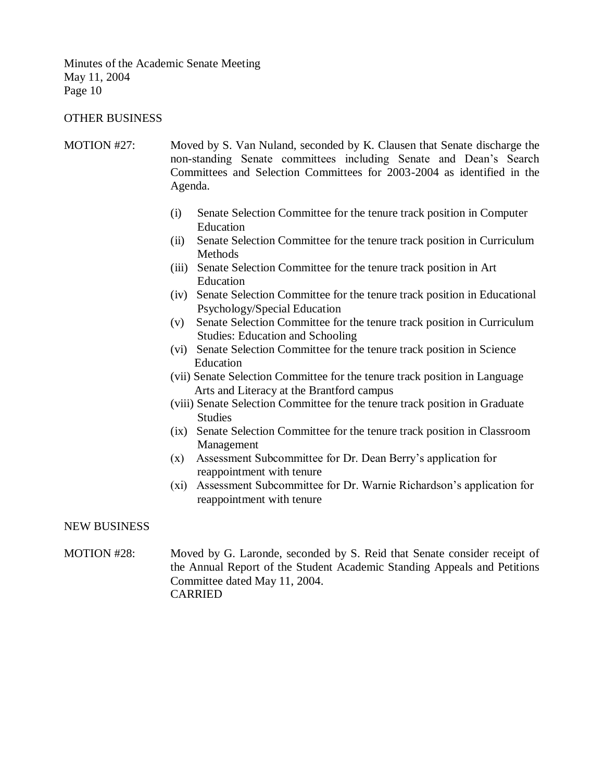#### OTHER BUSINESS

- MOTION #27: Moved by S. Van Nuland, seconded by K. Clausen that Senate discharge the non-standing Senate committees including Senate and Dean's Search Committees and Selection Committees for 2003-2004 as identified in the Agenda.
	- (i) Senate Selection Committee for the tenure track position in Computer Education
	- (ii) Senate Selection Committee for the tenure track position in Curriculum Methods
	- (iii) Senate Selection Committee for the tenure track position in Art Education
	- (iv) Senate Selection Committee for the tenure track position in Educational Psychology/Special Education
	- (v) Senate Selection Committee for the tenure track position in Curriculum Studies: Education and Schooling
	- (vi) Senate Selection Committee for the tenure track position in Science Education
	- (vii) Senate Selection Committee for the tenure track position in Language Arts and Literacy at the Brantford campus
	- (viii) Senate Selection Committee for the tenure track position in Graduate Studies
	- (ix) Senate Selection Committee for the tenure track position in Classroom Management
	- (x) Assessment Subcommittee for Dr. Dean Berry's application for reappointment with tenure
	- (xi) Assessment Subcommittee for Dr. Warnie Richardson's application for reappointment with tenure

#### NEW BUSINESS

### MOTION #28: Moved by G. Laronde, seconded by S. Reid that Senate consider receipt of the Annual Report of the Student Academic Standing Appeals and Petitions Committee dated May 11, 2004. CARRIED